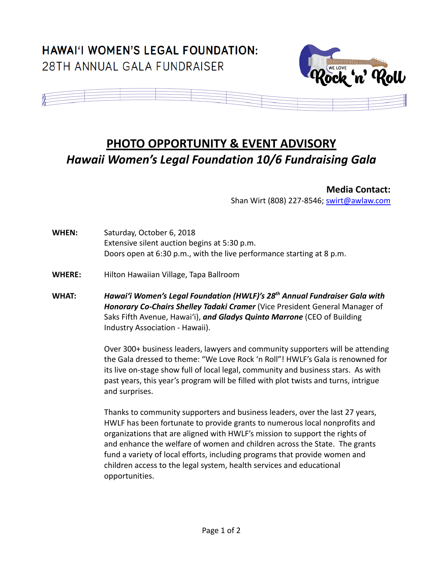## **HAWAI'I WOMEN'S LEGAL FOUNDATION:** 28TH ANNUAL GALA FUNDRAISER





## **PHOTO OPPORTUNITY & EVENT ADVISORY** *Hawaii Women's Legal Foundation 10/6 Fundraising Gala*

**Media Contact:**

Shan Wirt (808) 227-8546; [swirt@awlaw.com](mailto:swirt@awlaw.com)

**WHEN:** Saturday, October 6, 2018 Extensive silent auction begins at 5:30 p.m. Doors open at 6:30 p.m., with the live performance starting at 8 p.m.

- **WHERE:** Hilton Hawaiian Village, Tapa Ballroom
- **WHAT:** *Hawai'i Women's Legal Foundation (HWLF)'s 28th Annual Fundraiser Gala with Honorary Co-Chairs Shelley Tadaki Cramer* (Vice President General Manager of Saks Fifth Avenue, Hawai'i), *and Gladys Quinto Marrone* (CEO of Building Industry Association - Hawaii).

Over 300+ business leaders, lawyers and community supporters will be attending the Gala dressed to theme: "We Love Rock 'n Roll"! HWLF's Gala is renowned for its live on-stage show full of local legal, community and business stars. As with past years, this year's program will be filled with plot twists and turns, intrigue and surprises.

Thanks to community supporters and business leaders, over the last 27 years, HWLF has been fortunate to provide grants to numerous local nonprofits and organizations that are aligned with HWLF's mission to support the rights of and enhance the welfare of women and children across the State. The grants fund a variety of local efforts, including programs that provide women and children access to the legal system, health services and educational opportunities.